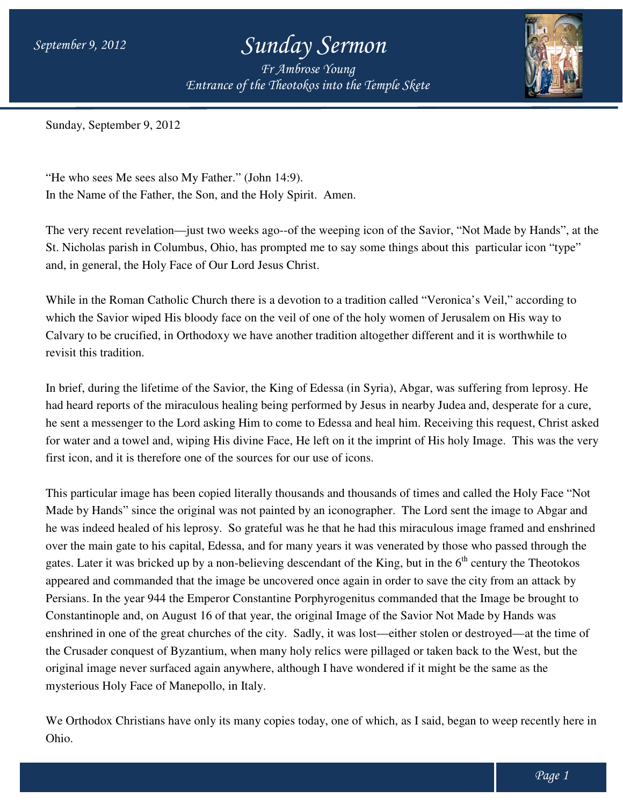*Entrance of the Theotokos Entrance of into the Temple Skete Fr Ambrose Young*



Sunday, September 9, 2012

"He who sees Me sees also My Father." (John 14:9). In the Name of the Father, the Son, and the Holy Spirit. Amen.

The very recent revelation—just two weeks ago--of the weeping icon of the Savior, "Not Made by Hands", at the The very recent revelation—just two weeks ago--of the weeping icon of the Savior, "Not Made by Hands", at<br>St. Nicholas parish in Columbus, Ohio, has prompted me to say some things about this particular icon "type" and, in general, the Holy Face of Our Lord Jesus Christ.

While in the Roman Catholic Church there is a devotion to a tradition called "Veronica's Veil," according to which the Savior wiped His bloody face on the veil of one of the holy women of Jerusalem on His way to While in the Roman Catholic Church there is a devotion to a tradition called "Veronica's Veil," according to<br>which the Savior wiped His bloody face on the veil of one of the holy women of Jerusalem on His way to<br>Calvary to revisit this tradition.

In brief, during the lifetime of the Savior, the King of Edessa (in Syria), Abgar, was suffering from leprosy. He<br>had heard reports of the miraculous healing being performed by Jesus in nearby Judea and, desperate for a cu had heard reports of the miraculous healing being performed by Jesus in nearby Judea and, desperate for a cure, he sent a messenger to the Lord asking Him to come to Edessa and heal him. Receiving this request, Christ asked for water and a towel and, wiping His divine Face, He left on it the imprint of His holy Image. This was the very first icon, and it is therefore one of the sources for our use of icons. erent and it is worthwhile to<br>; was suffering from leprosy. He<br>y Judea and, desperate for a cure,

This particular image has been copied literally thousands and thousands of times and called the Holy Face "Not Made by Hands" since the original was not painted by an iconographer. The Lord sent the image to Abgar and he was indeed healed of his leprosy. So grateful was he that he had this miraculous image framed and enshrined over the main gate to his capital, Edessa, and for many years it was venerated by those who passed through the Made by Hands" since the original was not painted by an iconographer. The Lord sent the image to Abgar and<br>he was indeed healed of his leprosy. So grateful was he that he had this miraculous image framed and enshrine<br>over appeared and commanded that the image be uncovered once again in order to save the city from an attack by appeared and commanded that the image be uncovered once again in order to save the city from an attack by<br>Persians. In the year 944 the Emperor Constantine Porphyrogenitus commanded that the Image be brought to Constantinople and, on August 16 of that year, the original Image of the Savior Not Made by Hands was Persians. In the year 944 the Emperor Constantine Porphyrogenitus commanded that the Image be brought to<br>Constantinople and, on August 16 of that year, the original Image of the Savior Not Made by Hands was<br>enshrined in on the Crusader conquest of Byzantium, when many holy relics were pillaged or taken back to the West, but the original image never surfaced again anywhere, although I have wondered if it might be the same as the<br>mysterious Holy Face of Manepollo, in Italy. mysterious Holy Face of Manepollo, in Italy.

We Orthodox Christians have only its many copies today, one of which, as I said, began to weep recently here in Ohio.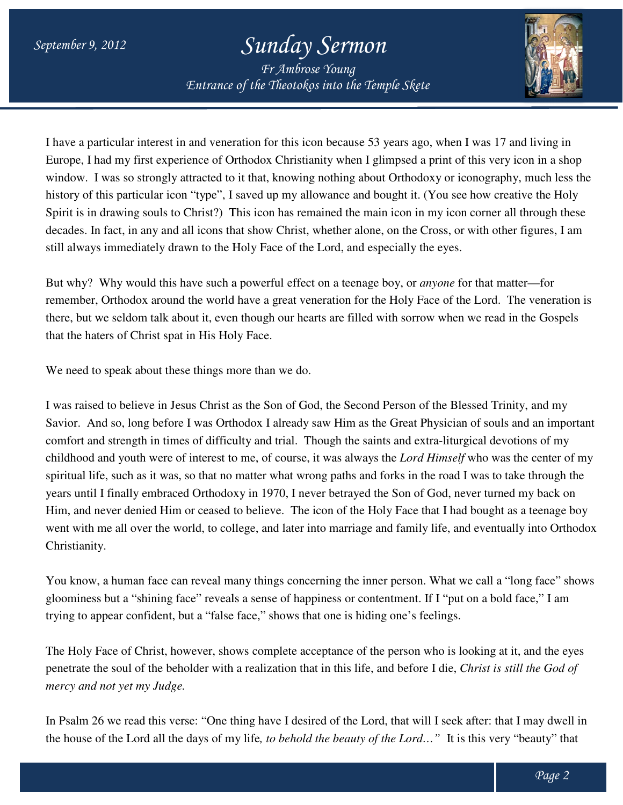*Entrance of the Theotokos Entrance of into the Temple Skete Fr Ambrose Young*



I have a particular interest in and veneration for this icon because 53 years ago, when I was 17 and living in Europe, I had my first experience of Orthodox Christianity when I glimpsed a print of this very icon in a shop window. I was so strongly attracted to it that, knowing nothing about Orthodoxy or iconography, much less the history of this particular icon "type", I saved up my allowance and bought it. (You see how creative the Holy Spirit is in drawing souls to Christ?) This icon has remained the main icon in my icon corner all through these Spirit is in drawing souls to Christ?) This icon has remained the main icon in my icon corner all through these<br>decades. In fact, in any and all icons that show Christ, whether alone, on the Cross, or with other figures, I still always immediately drawn to the Holy Face of the Lord, and especially the eyes. a particular interest in and veneration for this icon because 53 years ago, when I was 17 and living in e, I had my first experience of Orthodox Christianity when I glimpsed a print of this very icon in a shop w. I was so

But why? Why would this have such a powerful effect on a teenage boy, or *anyone* for that matter—for remember, Orthodox around the world have a great veneration for the Holy Face of the Lord. Lord. The veneration is there, but we seldom talk about it, even though our hearts are filled with sorrow when we read in the Gospels that the haters of Christ spat in His Holy Face. ave a great veneration for the Holy Face of the Lord. The velough our hearts are filled with sorrow when we read in the Face.

We need to speak about these things more than we do.

I was raised to believe in Jesus Christ as the Son of God, the Second Person of the Blessed Trinity, and my Savior. And so, long before I was Orthodox I already saw Him as the Great Physician of souls and an important comfort and strength in times of difficulty and trial. Though the saints and extra-liturgical devotions of my childhood and youth were of interest to me, of course, it was always the *Lord Himself* who was the center of my spiritual life, such as it was, so that no matter what wrong paths and forks in the road I was to take through the years until I finally embraced Orthodoxy in 1970, I never betrayed the Son of God, never turned my back on spiritual life, such as it was, so that no matter what wrong paths and forks in the road I was to take through the<br>years until I finally embraced Orthodoxy in 1970, I never betrayed the Son of God, never turned my back on<br> went with me all over the world, to college, and later into marriage and family life, and eventually into Orthodox Christianity. Him, and never denied Him or ceased to believe. The icon of the Holy Face that I had bought as a teenage boy<br>went with me all over the world, to college, and later into marriage and family life, and eventually into Orthodo o speak about these things more than we do.<br>ed to believe in Jesus Christ as the Son of God, the Second Person of the Blessed Trinity, and my<br>nd so, long before I was Orthodox I already saw Him as the Great Physician of so

gloominess but a "shining face" reveals a sense of happiness or contentment. If I "put on a bold face," I am trying to appear confident, but a "false fa face," shows that one is hiding one's feelings.

The Holy Face of Christ, however, shows complete acceptance of the person who is looking at it, and the eyes penetrate the soul of the beholder with a realization that in this life, and before I die, *Christ is is still the God of mercy and not yet my Judge.*

In Psalm 26 we read this verse: "One thing have I desired of the Lord, that will I seek after: that I may dwell in In Psalm 26 we read this verse: "One thing have I desired of the Lord, that will I seek after: that I may dwell i<br>the house of the Lord all the days of my life, *to behold the beauty of the Lord*…" It is this very "beauty"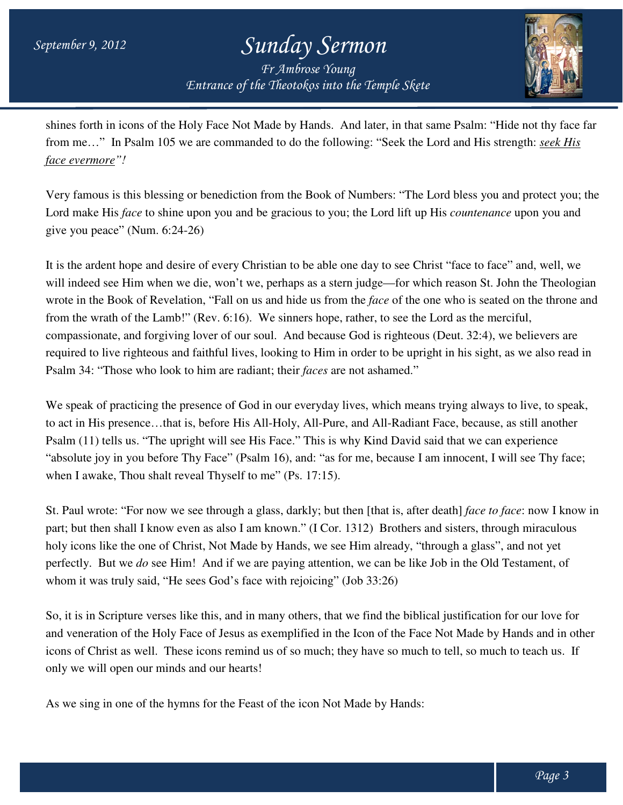*Entrance of the Theotokos Entrance of into the Temple Skete Fr Ambrose Young*



shines forth in icons of the Holy Face Not Made by Hands. And later, in that same Psalm: "Hide not thy face far face evermore"!<br> *face evermore*"!<br>
Very famous is this blessing or benediction from the Book of Numbers: "The Lord bless you and protect you;<br>
Lord make His *face* to shine upon you and be gracious to you; the Lord lift u *face evermore"!*

Very famous is this blessing or benediction from the Book of Numbers: "The Lord bless you and protect you; the Lord make His *face* to shine upon you and be gracious to you; the Lord lift up His *countenance* upon you and give you peace" (Num. 6:24-26)

It is the ardent hope and desire of every Christian to be able one day to see Christ "face to face" and, well, we It is the ardent hope and desire of every Christian to be able one day to see Christ "face to face" and, well, we<br>will indeed see Him when we die, won't we, perhaps as a stern judge—for which reason St. John the Theologian wrote in the Book of Revelation, "Fall on us and hide us from the *face* of the one who is seated on the throne and from the wrath of the Lamb!" (Rev. 6:16). We sinners hope, rather, to see the Lord as the merciful, compassionate, and forgiving lover of our soul. And because God is righteous (Deut. 32:4), we believers are required to live righteous and faithful lives, looking to Him in order to be upright in his sight, as we also read in required to live righteous and faithful lives, looking to Him in order to be upr<br>Psalm 34: "Those who look to him are radiant; their *faces* are not ashamed." ie, won't we, perhaps as a stern judge—for which reason St. John the Theologian<br>n, "Fall on us and hide us from the *face* of the one who is seated on the throne and<br>Rev. 6:16). We sinners hope, rather, to see the Lord as

We speak of practicing the presence of God in our everyday lives, which means trying always to live, to speak,<br>to act in His presence...that is, before His All-Holy, All-Pure, and All-Radiant Face, because, as still anothe to act in His presence…that is, before His All Psalm (11) tells us. "The upright will see His Face." This is why Kind David said that we can experience "absolute joy in you before Thy Face" (Psalm 16), and: "as for me, because I am innocent, I will see Thy face; when I awake, Thou shalt reveal Thyself to me" (Ps. 17:15).

when I awake, Thou shalt reveal Thyself to me" (Ps. 17:15).<br>St. Paul wrote: "For now we see through a glass, darkly; but then [that is, after death] *face to face* part; but then shall I know even as also I am known." (I Cor. 1312) Brothers and sisters, through miraculous holy icons like the one of Christ, Not Made by Hands, we see Him already, "through a glass", and not yet holy icons like the one of Christ, Not Made by Hands, we see Him already, "through a glass", and not yet<br>perfectly. But we *do* see Him! And if we are paying attention, we can be like Job in the Old Testament, of whom it was truly said, "He sees God's face with rejoicing" (Job 33:26) and sisters, through miraculous<br>hrough a glass", and not yet<br>e Job in the Old Testament, of<br>ical justification for our love for<br>ee Not Made by Hands and in other

So, it is in Scripture verses like this, and in many others, that we find the biblical justification for our love for and veneration of the Holy Face of Jesus as exemplified in the Icon of the Face Not Made by Hands and in ot icons of Christ as well. These icons remind us of so much; they have so much to tell, so much to teach us. If only we will open our minds and our hearts!

As we sing in one of the hymns for the Feast of the icon Not Made by Hands: